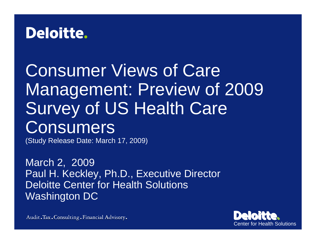# **Deloitte.**

# Consumer Views of Care Management: Preview of 2009 Survey of US Health Care **Consumers**

(Study Release Date: March 17, 2009)

March 2, 2009 Paul H. Keckley, Ph.D., Executive Director Deloitte Center for Health Solutions Washington DC

Center for Health Solutions

Audit. Tax. Consulting. Financial Advisory.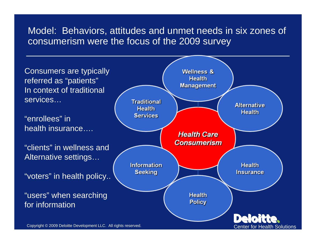# Model: Behaviors, attitudes and unmet needs in six zones of consumerism were the focus of the 2009 survey

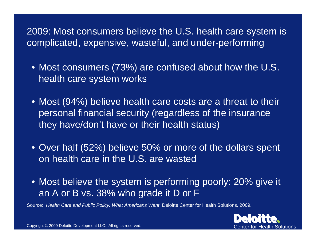2009: Most consumers believe the U.S. health care system is complicated, expensive, wasteful, and under-performing

- Most consumers (73%) are confused about how the U.S. health care system works
- Most (94%) believe health care costs are a threat to their personal financial security (regardless of the insurance they have/don't have or their health status)
- Over half (52%) believe 50% or more of the dollars spent on health care in the U.S. are wasted
- Most believe the system is performing poorly: 20% give it an A or B vs. 38% who grade it D or F

Source: *Health Care and Public Policy: What Americans Want*, Deloitte Center for Health Solutions, 2009.

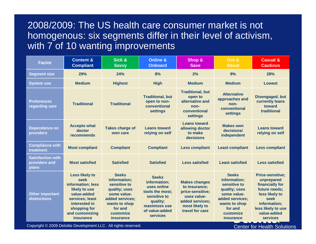# 2008/2009: The US health care consumer market is not homogenous: six segments differ in their level of activism, with 7 of 10 wanting improvements

| <b>Factor</b>                                      | <b>Content &amp;</b><br><b>Compliant</b>                                                                                                                                      | Sick &<br><b>Savvy</b>                                                                                                                                       | <b>Online &amp;</b><br><b>Onboard</b>                                                                                                            | Shop &<br><b>Save</b>                                                                                                            | Out &<br><b>About</b>                                                                                                                                        | <b>Casual &amp;</b><br><b>Cautious</b>                                                                                                                                      |
|----------------------------------------------------|-------------------------------------------------------------------------------------------------------------------------------------------------------------------------------|--------------------------------------------------------------------------------------------------------------------------------------------------------------|--------------------------------------------------------------------------------------------------------------------------------------------------|----------------------------------------------------------------------------------------------------------------------------------|--------------------------------------------------------------------------------------------------------------------------------------------------------------|-----------------------------------------------------------------------------------------------------------------------------------------------------------------------------|
| <b>Segment size</b>                                | 29%                                                                                                                                                                           | 24%                                                                                                                                                          | 8%                                                                                                                                               | 2%                                                                                                                               | 9%                                                                                                                                                           | 28%                                                                                                                                                                         |
| <b>System use</b>                                  | <b>Medium</b>                                                                                                                                                                 | <b>Highest</b>                                                                                                                                               | <b>High</b>                                                                                                                                      | <b>Medium</b>                                                                                                                    | <b>Medium</b>                                                                                                                                                | <b>Lowest</b>                                                                                                                                                               |
| <b>Preferences</b><br>regarding care               | <b>Traditional</b>                                                                                                                                                            | <b>Traditional</b>                                                                                                                                           | <b>Traditional, but</b><br>open to non-<br>conventional<br><b>settings</b>                                                                       | <b>Traditional, but</b><br>open to<br>alternative and<br>non-<br>conventional<br>settings                                        | <b>Alternative</b><br>approaches and<br>non-<br>conventional<br><b>settings</b>                                                                              | <b>Disengaged, but</b><br>currently leans<br>toward<br>traditional                                                                                                          |
| <b>Dependence on</b><br>providers                  | <b>Accepts what</b><br>doctor<br>recommends                                                                                                                                   | <b>Takes charge of</b><br>own care                                                                                                                           | <b>Leans toward</b><br>relying on self                                                                                                           | <b>Leans toward</b><br>allowing doctor<br>to make<br>decisions                                                                   | <b>Makes own</b><br>decisions/<br>independent                                                                                                                | <b>Leans toward</b><br>relying on self                                                                                                                                      |
| <b>Compliance with</b><br>treatment                | <b>Most compliant</b>                                                                                                                                                         | <b>Compliant</b>                                                                                                                                             | <b>Compliant</b>                                                                                                                                 | <b>Less compliant</b>                                                                                                            | <b>Least compliant</b>                                                                                                                                       | <b>Less compliant</b>                                                                                                                                                       |
| <b>Satisfaction with</b><br>providers and<br>plans | <b>Most satisfied</b>                                                                                                                                                         | <b>Satisfied</b>                                                                                                                                             | <b>Satisfied</b>                                                                                                                                 | <b>Less satisfied</b>                                                                                                            | <b>Least satisfied</b>                                                                                                                                       | <b>Less satisfied</b>                                                                                                                                                       |
| <b>Other important</b><br>distinctions             | <b>Less likely to</b><br>seek<br>information; less<br>likely to use<br>value-added<br>services; least<br>interested in<br>shopping for<br>and customizing<br><i>insurance</i> | <b>Seeks</b><br>information;<br>sensitive to<br>quality; uses<br>some value-<br>added services;<br>wants to shop<br>for and<br>customize<br><i>insurance</i> | <b>Seeks</b><br>information;<br>uses online<br>tools the most;<br>sensitive to<br>quality;<br>maximizes use<br>of value-added<br><b>services</b> | <b>Makes changes</b><br>to insurance;<br>price-sensitive;<br>uses value-<br>added services;<br>most likely to<br>travel for care | <b>Seeks</b><br>information:<br>sensitive to<br>quality; uses<br>some value-<br>added services;<br>wants to shop<br>for and<br>customize<br><i>insurance</i> | <b>Price-sensitive;</b><br>unprepared<br>financially for<br>future needs;<br>less likely to<br>seek<br>information;<br>less likely to use<br>value-added<br><b>services</b> |

Copyright © 2009 Deloitte Development LLC. All rights reserved.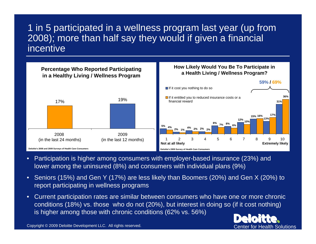1 in 5 participated in a wellness program last year (up from 2008); more than half say they would if given a financial incentive



- Participation is higher among consumers with employer-based insurance (23%) and lower among the uninsured (8%) and consumers with individual plans (9%)
- Seniors (15%) and Gen Y (17%) are less likely than Boomers (20%) and Gen X (20%) to report participating in wellness programs
- Current participation rates are similar between consumers who have one or more chronic conditions (18%) vs. those who do not (20%), but interest in doing so (if it cost nothing) is higher among those with chronic conditions (62% vs. 56%)

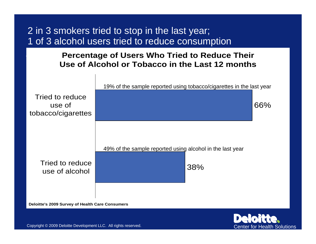# 2 in 3 smokers tried to stop in the last year; 1 of 3 alcohol users tried to reduce consumption

#### **Percentage of Users Who Tried to Reduce Their Use of Alcohol or Tobacco in the Last 12 months**



**Deloitte's 2009 Survey of Health Care Consumers**

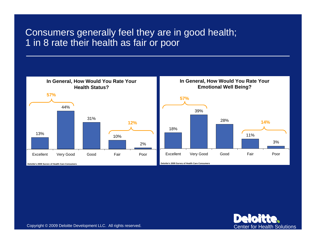## Consumers generally feel they are in good health; 1 in 8 rate their health as fair or poor



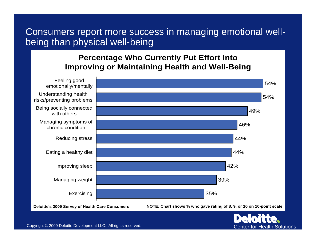# Consumers report more success in managing emotional wellbeing than physical well-being

#### **Percentage Who Currently Put Effort Into Improving or Maintaining Health and Well-Being**

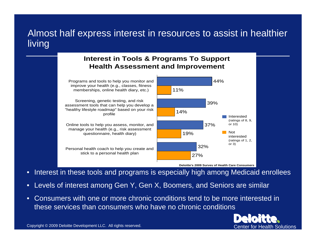# Almost half express interest in resources to assist in healthier living

#### **Interest in Tools & Programs To Support Health Assessment and Improvement**

Programs and tools to help you monitor and improve your health (e.g., classes, fitness memberships, online health diary, etc.)

Screening, genetic testing, and risk assessment tools that can help you develop a "healthy lifestyle roadmap" based on your risk profile

Online tools to help you assess, monitor, and manage your health (e.g., risk assessment questionnaire, health diary)

Personal health coach to help you create and stick to a personal health plan



**Deloitte's 2009 Survey of Health Care Consumers**

• Interest in these tools and programs is especially high among Medicaid enrollees

- Levels of interest among Gen Y, Gen X, Boomers, and Seniors are similar
- Consumers with one or more chronic conditions tend to be more interested in these services than consumers who have no chronic conditions

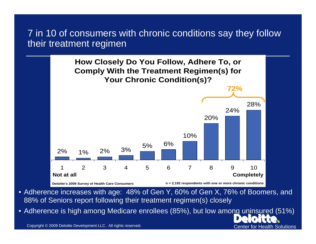# 7 in 10 of consumers with chronic conditions say they follow their treatment regimen



- Adherence increases with age: 48% of Gen Y, 60% of Gen X, 76% of Boomers, and 88% of Seniors report following their treatment regimen(s) closely
- Adherence is high among Medicare enrollees (85%), but low among uninsured (51%)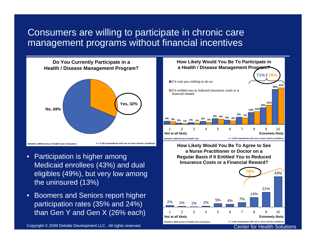# Consumers are willing to participate in chronic care management programs without financial incentives

**Do You Currently Participate in a Health / Disease Management Program? Yes, 32% No, 69% Deloitte's 2009 Survey of Health Care Consumers n = 2,192 respondents with one or more chronic conditions**

- Participation is higher among Medicaid enrollees (43%) and dual eligibles (49%), but very low among the uninsured (13%)
- Boomers and Seniors report higher participation rates (35% and 24%) than Gen Y and Gen X (26% each)

Copyright © 2009 Deloitte Development LLC. All rights reserved. Center for Health Solutions



**How Likely Would You Be To Agree to See a Nurse Practitioner or Doctor on a Regular Basis if It Entitled You to Reduced Insurance Costs or a Financial Reward?**

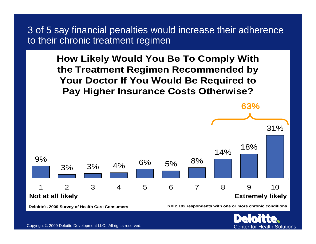3 of 5 say financial penalties would increase their adherence to their chronic treatment regimen

> **How Likely Would You Be To Comply With the Treatment Regimen Recommended by Your Doctor If You Would Be Required to Pay Higher Insurance Costs Otherwise?**

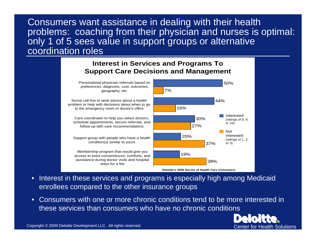Consumers want assistance in dealing with their health problems: coaching from their physician and nurses is optimal: only 1 of 5 sees value in support groups or alternative coordination roles



- Interest in these services and programs is especially high among Medicaid enrollees compared to the other insurance groups
- Consumers with one or more chronic conditions tend to be more interested in these services than consumers who have no chronic conditions

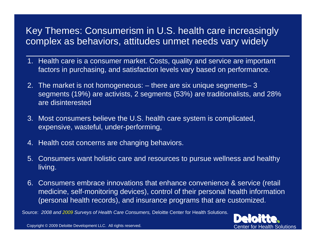# Key Themes: Consumerism in U.S. health care increasingly complex as behaviors, attitudes unmet needs vary widely

- 1. Health care is a consumer market. Costs, quality and service are important factors in purchasing, and satisfaction levels vary based on performance.
- 2. The market is not homogeneous: there are six unique segments– 3 segments (19%) are activists, 2 segments (53%) are traditionalists, and 28% are disinterested
- 3. Most consumers believe the U.S. health care system is complicated, expensive, wasteful, under-performing,
- 4. Health cost concerns are changing behaviors.
- 5. Consumers want holistic care and resources to pursue wellness and healthy living.
- 6. Consumers embrace innovations that enhance convenience & service (retail medicine, self-monitoring devices), control of their personal health information (personal health records), and insurance programs that are customized.

Source: *2008 and 2009 Surveys of Health Care Consumers,* Deloitte Center for Health Solutions.

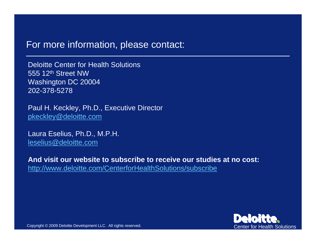### For more information, please contact:

Deloitte Center for Health Solutions555 12th Street NWWashington DC 20004 202-378-5278

Paul H. Keckley, Ph.D., Executive Director [pkeckley@deloitte.com](mailto:pkeckley@deloitte.com)

Laura Eselius, Ph.D., M.P.H. [leselius@deloitte.com](mailto:leselius@deloitte.com)

**And visit our website to subscribe to receive our studies at no cost:**<http://www.deloitte.com/CenterforHealthSolutions/subscribe>